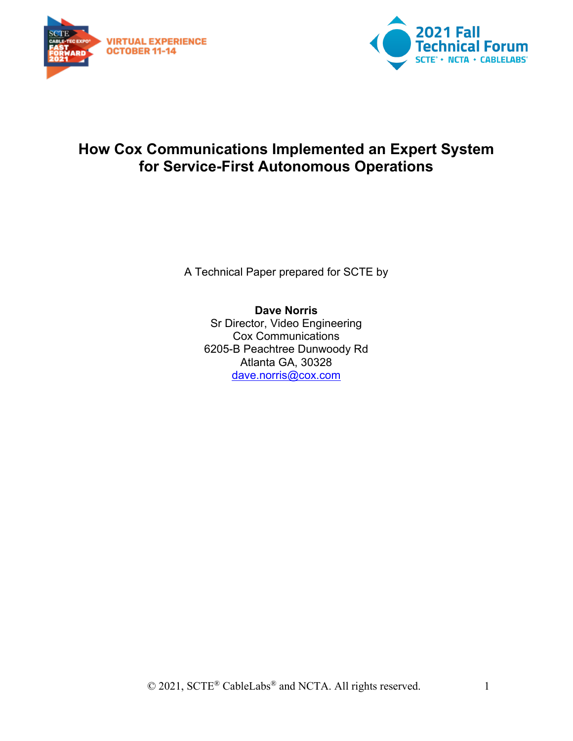



## **How Cox Communications Implemented an Expert System for Service-First Autonomous Operations**

A Technical Paper prepared for SCTE by

**Dave Norris** Sr Director, Video Engineering Cox Communications 6205-B Peachtree Dunwoody Rd Atlanta GA, 30328 [dave.norris@cox.com](mailto:dave.norris@cox.com)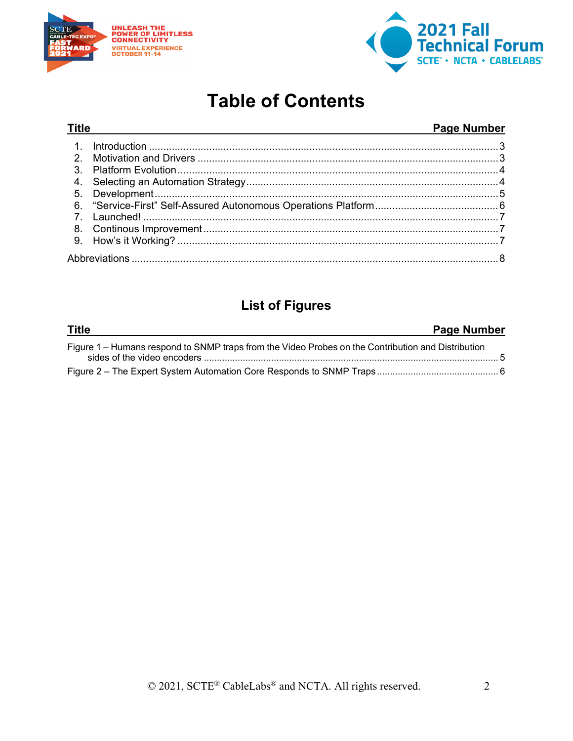

. . . .



# **Table of Contents**

#### **Title Page Number**  $1<sup>1</sup>$ **Introduction** 3  $\mathcal{P}$ 3.  $4.$ 5. 6. 7. 8.  $9<sub>1</sub>$

## **List of Figures**

| <b>Title</b>                                                                                       | Page Number |
|----------------------------------------------------------------------------------------------------|-------------|
| Figure 1 – Humans respond to SNMP traps from the Video Probes on the Contribution and Distribution |             |
|                                                                                                    |             |
|                                                                                                    |             |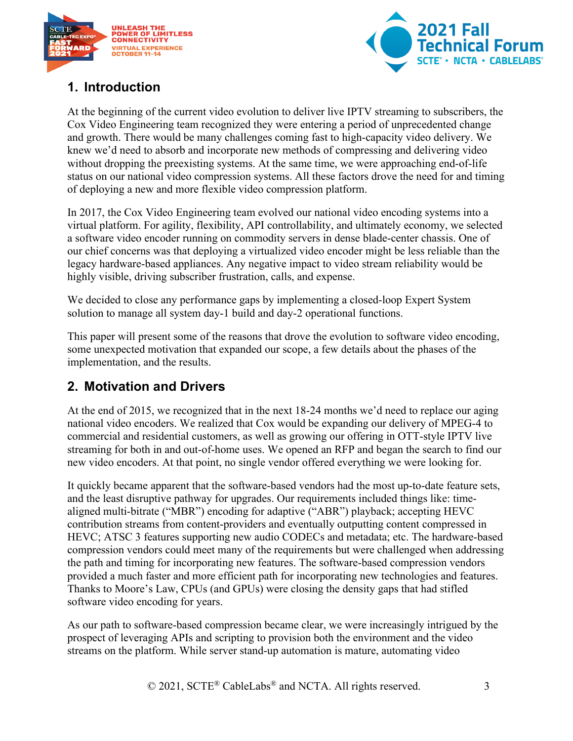



### <span id="page-2-0"></span>**1. Introduction**

At the beginning of the current video evolution to deliver live IPTV streaming to subscribers, the Cox Video Engineering team recognized they were entering a period of unprecedented change and growth. There would be many challenges coming fast to high-capacity video delivery. We knew we'd need to absorb and incorporate new methods of compressing and delivering video without dropping the preexisting systems. At the same time, we were approaching end-of-life status on our national video compression systems. All these factors drove the need for and timing of deploying a new and more flexible video compression platform.

In 2017, the Cox Video Engineering team evolved our national video encoding systems into a virtual platform. For agility, flexibility, API controllability, and ultimately economy, we selected a software video encoder running on commodity servers in dense blade-center chassis. One of our chief concerns was that deploying a virtualized video encoder might be less reliable than the legacy hardware-based appliances. Any negative impact to video stream reliability would be highly visible, driving subscriber frustration, calls, and expense.

We decided to close any performance gaps by implementing a closed-loop Expert System solution to manage all system day-1 build and day-2 operational functions.

This paper will present some of the reasons that drove the evolution to software video encoding, some unexpected motivation that expanded our scope, a few details about the phases of the implementation, and the results.

#### <span id="page-2-1"></span>**2. Motivation and Drivers**

At the end of 2015, we recognized that in the next 18-24 months we'd need to replace our aging national video encoders. We realized that Cox would be expanding our delivery of MPEG-4 to commercial and residential customers, as well as growing our offering in OTT-style IPTV live streaming for both in and out-of-home uses. We opened an RFP and began the search to find our new video encoders. At that point, no single vendor offered everything we were looking for.

It quickly became apparent that the software-based vendors had the most up-to-date feature sets, and the least disruptive pathway for upgrades. Our requirements included things like: timealigned multi-bitrate ("MBR") encoding for adaptive ("ABR") playback; accepting HEVC contribution streams from content-providers and eventually outputting content compressed in HEVC; ATSC 3 features supporting new audio CODECs and metadata; etc. The hardware-based compression vendors could meet many of the requirements but were challenged when addressing the path and timing for incorporating new features. The software-based compression vendors provided a much faster and more efficient path for incorporating new technologies and features. Thanks to Moore's Law, CPUs (and GPUs) were closing the density gaps that had stifled software video encoding for years.

As our path to software-based compression became clear, we were increasingly intrigued by the prospect of leveraging APIs and scripting to provision both the environment and the video streams on the platform. While server stand-up automation is mature, automating video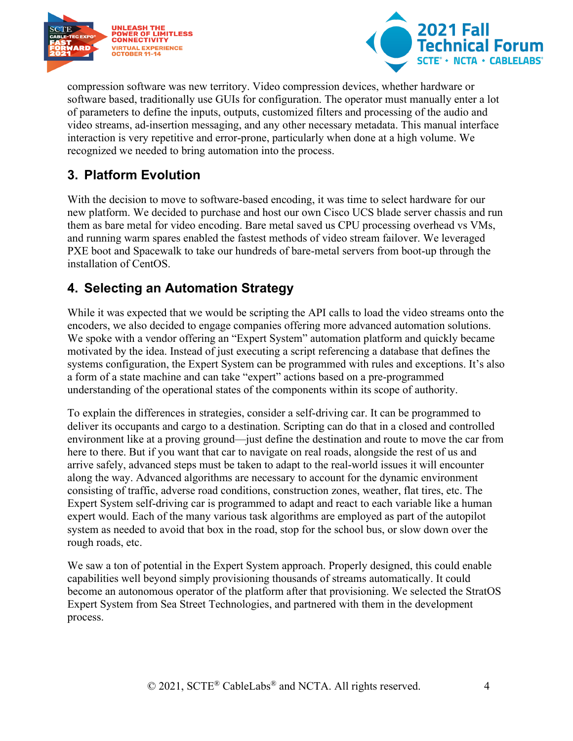



compression software was new territory. Video compression devices, whether hardware or software based, traditionally use GUIs for configuration. The operator must manually enter a lot of parameters to define the inputs, outputs, customized filters and processing of the audio and video streams, ad-insertion messaging, and any other necessary metadata. This manual interface interaction is very repetitive and error-prone, particularly when done at a high volume. We recognized we needed to bring automation into the process.

#### <span id="page-3-0"></span>**3. Platform Evolution**

With the decision to move to software-based encoding, it was time to select hardware for our new platform. We decided to purchase and host our own Cisco UCS blade server chassis and run them as bare metal for video encoding. Bare metal saved us CPU processing overhead vs VMs, and running warm spares enabled the fastest methods of video stream failover. We leveraged PXE boot and Spacewalk to take our hundreds of bare-metal servers from boot-up through the installation of CentOS.

#### <span id="page-3-1"></span>**4. Selecting an Automation Strategy**

While it was expected that we would be scripting the API calls to load the video streams onto the encoders, we also decided to engage companies offering more advanced automation solutions. We spoke with a vendor offering an "Expert System" automation platform and quickly became motivated by the idea. Instead of just executing a script referencing a database that defines the systems configuration, the Expert System can be programmed with rules and exceptions. It's also a form of a state machine and can take "expert" actions based on a pre-programmed understanding of the operational states of the components within its scope of authority.

To explain the differences in strategies, consider a self-driving car. It can be programmed to deliver its occupants and cargo to a destination. Scripting can do that in a closed and controlled environment like at a proving ground—just define the destination and route to move the car from here to there. But if you want that car to navigate on real roads, alongside the rest of us and arrive safely, advanced steps must be taken to adapt to the real-world issues it will encounter along the way. Advanced algorithms are necessary to account for the dynamic environment consisting of traffic, adverse road conditions, construction zones, weather, flat tires, etc. The Expert System self-driving car is programmed to adapt and react to each variable like a human expert would. Each of the many various task algorithms are employed as part of the autopilot system as needed to avoid that box in the road, stop for the school bus, or slow down over the rough roads, etc.

We saw a ton of potential in the Expert System approach. Properly designed, this could enable capabilities well beyond simply provisioning thousands of streams automatically. It could become an autonomous operator of the platform after that provisioning. We selected the StratOS Expert System from Sea Street Technologies, and partnered with them in the development process.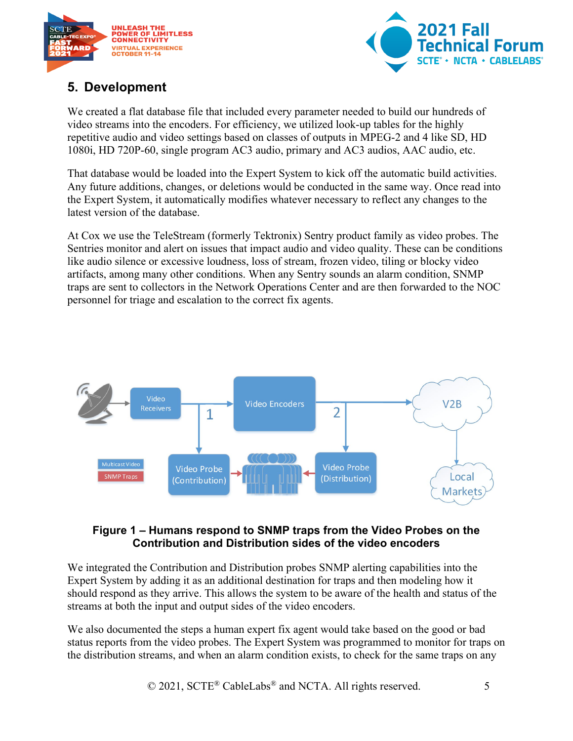



#### <span id="page-4-0"></span>**5. Development**

We created a flat database file that included every parameter needed to build our hundreds of video streams into the encoders. For efficiency, we utilized look-up tables for the highly repetitive audio and video settings based on classes of outputs in MPEG-2 and 4 like SD, HD 1080i, HD 720P-60, single program AC3 audio, primary and AC3 audios, AAC audio, etc.

That database would be loaded into the Expert System to kick off the automatic build activities. Any future additions, changes, or deletions would be conducted in the same way. Once read into the Expert System, it automatically modifies whatever necessary to reflect any changes to the latest version of the database.

At Cox we use the TeleStream (formerly Tektronix) Sentry product family as video probes. The Sentries monitor and alert on issues that impact audio and video quality. These can be conditions like audio silence or excessive loudness, loss of stream, frozen video, tiling or blocky video artifacts, among many other conditions. When any Sentry sounds an alarm condition, SNMP traps are sent to collectors in the Network Operations Center and are then forwarded to the NOC personnel for triage and escalation to the correct fix agents.



#### <span id="page-4-1"></span>**Figure 1 – Humans respond to SNMP traps from the Video Probes on the Contribution and Distribution sides of the video encoders**

We integrated the Contribution and Distribution probes SNMP alerting capabilities into the Expert System by adding it as an additional destination for traps and then modeling how it should respond as they arrive. This allows the system to be aware of the health and status of the streams at both the input and output sides of the video encoders.

We also documented the steps a human expert fix agent would take based on the good or bad status reports from the video probes. The Expert System was programmed to monitor for traps on the distribution streams, and when an alarm condition exists, to check for the same traps on any

© 2021, SCTE<sup>®</sup> CableLabs<sup>®</sup> and NCTA. All rights reserved. 5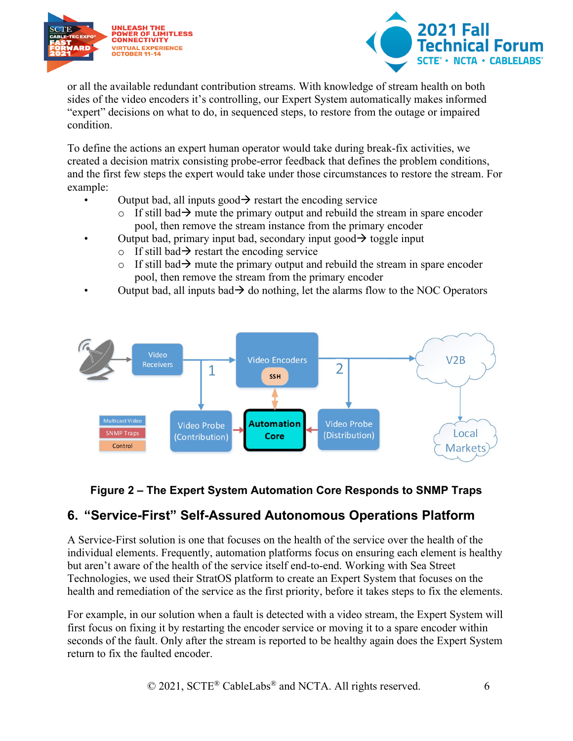



or all the available redundant contribution streams. With knowledge of stream health on both sides of the video encoders it's controlling, our Expert System automatically makes informed "expert" decisions on what to do, in sequenced steps, to restore from the outage or impaired condition.

To define the actions an expert human operator would take during break-fix activities, we created a decision matrix consisting probe-error feedback that defines the problem conditions, and the first few steps the expert would take under those circumstances to restore the stream. For example:

- Output bad, all inputs good  $\rightarrow$  restart the encoding service
	- $\circ$  If still bad  $\rightarrow$  mute the primary output and rebuild the stream in spare encoder pool, then remove the stream instance from the primary encoder
- Output bad, primary input bad, secondary input good  $\rightarrow$  toggle input
	- o If still bad  $\rightarrow$  restart the encoding service
	- $\circ$  If still bad  $\rightarrow$  mute the primary output and rebuild the stream in spare encoder pool, then remove the stream from the primary encoder
- Output bad, all inputs bad  $\rightarrow$  do nothing, let the alarms flow to the NOC Operators



#### <span id="page-5-1"></span>**Figure 2 – The Expert System Automation Core Responds to SNMP Traps**

#### <span id="page-5-0"></span>**6. "Service-First" Self-Assured Autonomous Operations Platform**

A Service-First solution is one that focuses on the health of the service over the health of the individual elements. Frequently, automation platforms focus on ensuring each element is healthy but aren't aware of the health of the service itself end-to-end. Working with Sea Street Technologies, we used their StratOS platform to create an Expert System that focuses on the health and remediation of the service as the first priority, before it takes steps to fix the elements.

For example, in our solution when a fault is detected with a video stream, the Expert System will first focus on fixing it by restarting the encoder service or moving it to a spare encoder within seconds of the fault. Only after the stream is reported to be healthy again does the Expert System return to fix the faulted encoder.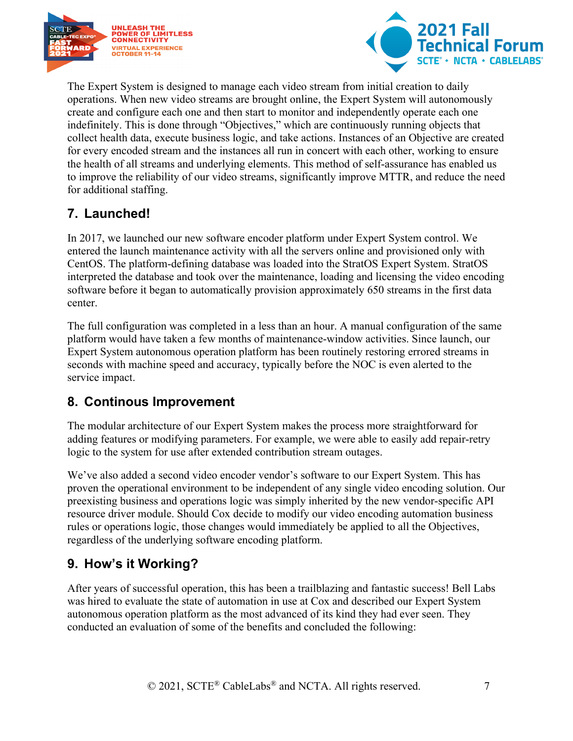



The Expert System is designed to manage each video stream from initial creation to daily operations. When new video streams are brought online, the Expert System will autonomously create and configure each one and then start to monitor and independently operate each one indefinitely. This is done through "Objectives," which are continuously running objects that collect health data, execute business logic, and take actions. Instances of an Objective are created for every encoded stream and the instances all run in concert with each other, working to ensure the health of all streams and underlying elements. This method of self-assurance has enabled us to improve the reliability of our video streams, significantly improve MTTR, and reduce the need for additional staffing.

#### <span id="page-6-0"></span>**7. Launched!**

In 2017, we launched our new software encoder platform under Expert System control. We entered the launch maintenance activity with all the servers online and provisioned only with CentOS. The platform-defining database was loaded into the StratOS Expert System. StratOS interpreted the database and took over the maintenance, loading and licensing the video encoding software before it began to automatically provision approximately 650 streams in the first data center.

The full configuration was completed in a less than an hour. A manual configuration of the same platform would have taken a few months of maintenance-window activities. Since launch, our Expert System autonomous operation platform has been routinely restoring errored streams in seconds with machine speed and accuracy, typically before the NOC is even alerted to the service impact.

#### <span id="page-6-1"></span>**8. Continous Improvement**

The modular architecture of our Expert System makes the process more straightforward for adding features or modifying parameters. For example, we were able to easily add repair-retry logic to the system for use after extended contribution stream outages.

We've also added a second video encoder vendor's software to our Expert System. This has proven the operational environment to be independent of any single video encoding solution. Our preexisting business and operations logic was simply inherited by the new vendor-specific API resource driver module. Should Cox decide to modify our video encoding automation business rules or operations logic, those changes would immediately be applied to all the Objectives, regardless of the underlying software encoding platform.

#### <span id="page-6-2"></span>**9. How's it Working?**

After years of successful operation, this has been a trailblazing and fantastic success! Bell Labs was hired to evaluate the state of automation in use at Cox and described our Expert System autonomous operation platform as the most advanced of its kind they had ever seen. They conducted an evaluation of some of the benefits and concluded the following: